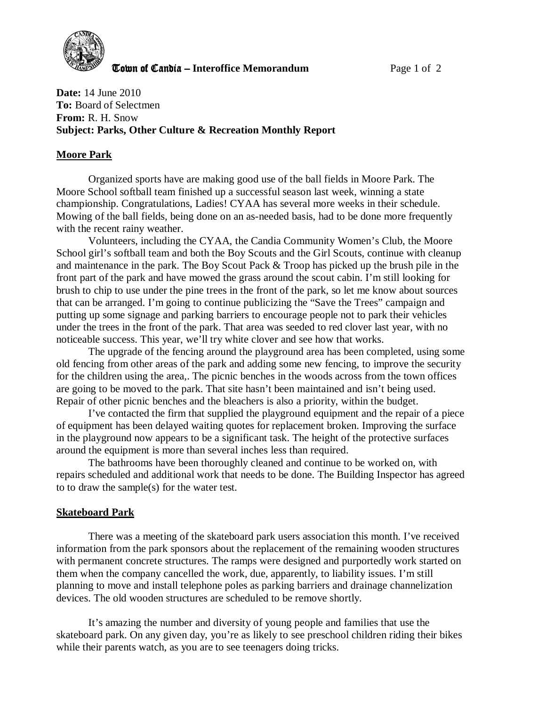

**The United Candia – Interoffice Memorandum** *Page 1 of 2* 

**Date:** 14 June 2010 **To:** Board of Selectmen **From:** R. H. Snow **Subject: Parks, Other Culture & Recreation Monthly Report** 

# **Moore Park**

Organized sports have are making good use of the ball fields in Moore Park. The Moore School softball team finished up a successful season last week, winning a state championship. Congratulations, Ladies! CYAA has several more weeks in their schedule. Mowing of the ball fields, being done on an as-needed basis, had to be done more frequently with the recent rainy weather.

Volunteers, including the CYAA, the Candia Community Women's Club, the Moore School girl's softball team and both the Boy Scouts and the Girl Scouts, continue with cleanup and maintenance in the park. The Boy Scout Pack & Troop has picked up the brush pile in the front part of the park and have mowed the grass around the scout cabin. I'm still looking for brush to chip to use under the pine trees in the front of the park, so let me know about sources that can be arranged. I'm going to continue publicizing the "Save the Trees" campaign and putting up some signage and parking barriers to encourage people not to park their vehicles under the trees in the front of the park. That area was seeded to red clover last year, with no noticeable success. This year, we'll try white clover and see how that works.

The upgrade of the fencing around the playground area has been completed, using some old fencing from other areas of the park and adding some new fencing, to improve the security for the children using the area,. The picnic benches in the woods across from the town offices are going to be moved to the park. That site hasn't been maintained and isn't being used. Repair of other picnic benches and the bleachers is also a priority, within the budget.

I've contacted the firm that supplied the playground equipment and the repair of a piece of equipment has been delayed waiting quotes for replacement broken. Improving the surface in the playground now appears to be a significant task. The height of the protective surfaces around the equipment is more than several inches less than required.

The bathrooms have been thoroughly cleaned and continue to be worked on, with repairs scheduled and additional work that needs to be done. The Building Inspector has agreed to to draw the sample(s) for the water test.

### **Skateboard Park**

 There was a meeting of the skateboard park users association this month. I've received information from the park sponsors about the replacement of the remaining wooden structures with permanent concrete structures. The ramps were designed and purportedly work started on them when the company cancelled the work, due, apparently, to liability issues. I'm still planning to move and install telephone poles as parking barriers and drainage channelization devices. The old wooden structures are scheduled to be remove shortly.

It's amazing the number and diversity of young people and families that use the skateboard park. On any given day, you're as likely to see preschool children riding their bikes while their parents watch, as you are to see teenagers doing tricks.